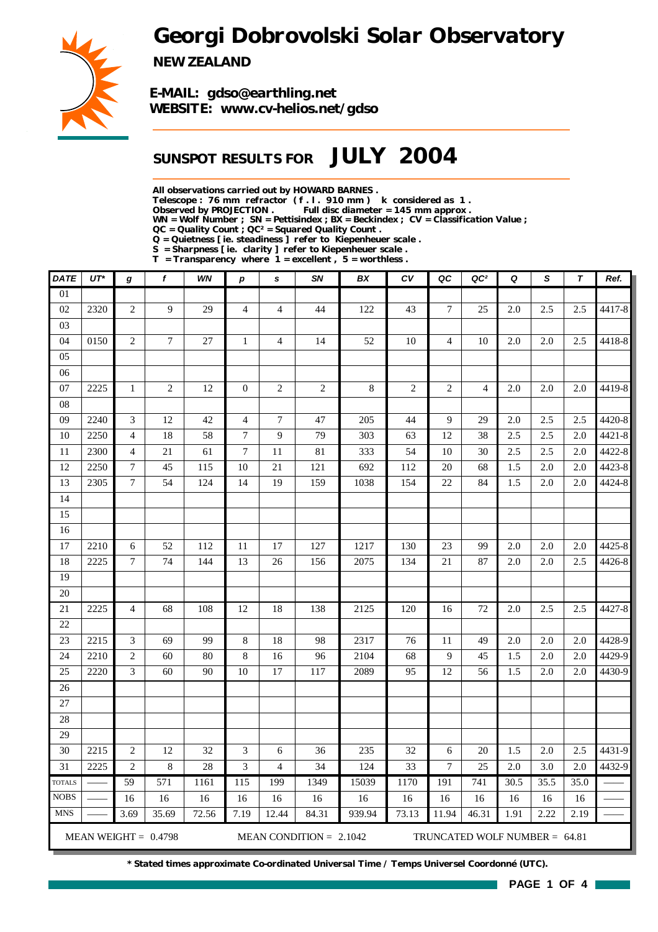# *Georgi Dobrovolski Solar Observatory*



*NEW ZEALAND*

*E-MAIL: gdso@earthling.net WEBSITE: www.cv-helios.net/gdso*

## *SUNSPOT RESULTS FOR JULY 2004*

*All observations carried out by HOWARD BARNES .*

*Telescope : 76 mm refractor ( f . l . 910 mm ) k considered as 1 .*

*Observed by PROJECTION . Full disc diameter = 145 mm approx .*

*WN = Wolf Number ; SN = Pettisindex ; BX = Beckindex ; CV = Classification Value ;*

*QC = Quality Count ; QC² = Squared Quality Count .*

*Q = Quietness [ ie. steadiness ] refer to Kiepenheuer scale .*

*S = Sharpness [ ie. clarity ] refer to Kiepenheuer scale . T = Transparency where 1 = excellent , 5 = worthless .*

| <b>DATE</b>     | $UT^*$                                                                                 | g                           | f              | <b>WN</b> | p                | s              | <b>SN</b>      | BX     | c <sub>V</sub>  | QC                       | QC <sup>2</sup> | Q    | S                | $\boldsymbol{\tau}$ | Ref.       |
|-----------------|----------------------------------------------------------------------------------------|-----------------------------|----------------|-----------|------------------|----------------|----------------|--------|-----------------|--------------------------|-----------------|------|------------------|---------------------|------------|
| $\overline{01}$ |                                                                                        |                             |                |           |                  |                |                |        |                 |                          |                 |      |                  |                     |            |
| 02              | 2320                                                                                   | $\mathfrak{2}$              | 9              | 29        | $\overline{4}$   | $\overline{4}$ | 44             | 122    | 43              | $\overline{7}$           | 25              | 2.0  | 2.5              | 2.5                 | 4417-8     |
| 03              |                                                                                        |                             |                |           |                  |                |                |        |                 |                          |                 |      |                  |                     |            |
| 04              | 0150                                                                                   | $\overline{2}$              | $\overline{7}$ | 27        | $\mathbf{1}$     | $\overline{4}$ | 14             | 52     | 10              | $\overline{\mathcal{L}}$ | 10              | 2.0  | 2.0              | 2.5                 | 4418-8     |
| 05              |                                                                                        |                             |                |           |                  |                |                |        |                 |                          |                 |      |                  |                     |            |
| 06              |                                                                                        |                             |                |           |                  |                |                |        |                 |                          |                 |      |                  |                     |            |
| 07              | 2225                                                                                   | $\mathbf{1}$                | $\mathfrak{2}$ | $12\,$    | $\mathbf{0}$     | $\overline{c}$ | $\mathfrak{2}$ | 8      | 2               | $\mathfrak{2}$           | $\overline{4}$  | 2.0  | 2.0              | 2.0                 | 4419-8     |
| 08              |                                                                                        |                             |                |           |                  |                |                |        |                 |                          |                 |      |                  |                     |            |
| 09              | 2240                                                                                   | 3                           | 12             | 42        | $\overline{4}$   | $\tau$         | 47             | 205    | 44              | 9                        | 29              | 2.0  | 2.5              | 2.5                 | 4420-8     |
| 10              | 2250                                                                                   | $\overline{4}$              | 18             | 58        | $\tau$           | 9              | 79             | 303    | 63              | 12                       | 38              | 2.5  | 2.5              | 2.0                 | 4421-8     |
| 11              | 2300                                                                                   | 4                           | 21             | 61        | $\boldsymbol{7}$ | 11             | 81             | 333    | 54              | 10                       | 30              | 2.5  | 2.5              | 2.0                 | 4422-8     |
| 12              | 2250                                                                                   | $\overline{7}$              | 45             | 115       | 10               | 21             | 121            | 692    | 112             | 20                       | 68              | 1.5  | 2.0              | 2.0                 | 4423-8     |
| 13              | 2305                                                                                   | $\tau$                      | 54             | 124       | 14               | 19             | 159            | 1038   | 154             | 22                       | 84              | 1.5  | $2.0\,$          | 2.0                 | 4424-8     |
| 14              |                                                                                        |                             |                |           |                  |                |                |        |                 |                          |                 |      |                  |                     |            |
| 15              |                                                                                        |                             |                |           |                  |                |                |        |                 |                          |                 |      |                  |                     |            |
| 16              |                                                                                        |                             |                |           |                  |                |                |        |                 |                          |                 |      |                  |                     |            |
| 17              | 2210                                                                                   | 6                           | 52             | 112       | 11               | 17             | 127            | 1217   | 130             | 23                       | 99              | 2.0  | 2.0              | 2.0                 | 4425-8     |
| 18              | 2225                                                                                   | $\tau$                      | 74             | 144       | 13               | 26             | 156            | 2075   | 134             | 21                       | 87              | 2.0  | 2.0              | 2.5                 | 4426-8     |
| 19              |                                                                                        |                             |                |           |                  |                |                |        |                 |                          |                 |      |                  |                     |            |
| 20              |                                                                                        |                             |                |           |                  |                |                |        |                 |                          |                 |      |                  |                     |            |
| 21              | 2225                                                                                   | $\overline{4}$              | 68             | 108       | 12               | 18             | 138            | 2125   | 120             | 16                       | 72              | 2.0  | 2.5              | 2.5                 | 4427-8     |
| 22              |                                                                                        |                             |                |           |                  |                |                |        |                 |                          |                 |      |                  |                     |            |
| 23              | 2215                                                                                   | $\ensuremath{\mathfrak{Z}}$ | 69             | 99        | 8                | 18             | 98             | 2317   | 76              | 11                       | 49              | 2.0  | 2.0              | 2.0                 | 4428-9     |
| 24              | 2210                                                                                   | $\mathbf{2}$                | 60             | 80        | 8                | 16             | 96             | 2104   | 68              | 9                        | 45              | 1.5  | 2.0              | 2.0                 | 4429-9     |
| 25              | 2220                                                                                   | 3                           | 60             | 90        | 10               | 17             | 117            | 2089   | 95              | 12                       | 56              | 1.5  | $2.0\,$          | 2.0                 | 4430-9     |
| 26              |                                                                                        |                             |                |           |                  |                |                |        |                 |                          |                 |      |                  |                     |            |
| $27\,$          |                                                                                        |                             |                |           |                  |                |                |        |                 |                          |                 |      |                  |                     |            |
| 28              |                                                                                        |                             |                |           |                  |                |                |        |                 |                          |                 |      |                  |                     |            |
| 29              |                                                                                        |                             |                |           |                  |                |                |        |                 |                          |                 |      |                  |                     |            |
| 30              | 2215                                                                                   | $\overline{c}$              | 12             | 32        | 3                | 6              | 36             | 235    | 32              | 6                        | 20              | 1.5  | 2.0              | 2.5                 | 4431-9     |
| 31              | 2225                                                                                   | $\overline{c}$              | $\,8\,$        | 28        | $\overline{3}$   | $\overline{4}$ | 34             | 124    | $\overline{33}$ | $\overline{7}$           | $\overline{25}$ | 2.0  | $\overline{3.0}$ |                     | 2.0 4432-9 |
| <b>TOTALS</b>   |                                                                                        | 59                          | 571            | 1161      | 115              | 199            | 1349           | 15039  | 1170            | 191                      | 741             | 30.5 | 35.5             | 35.0                |            |
| <b>NOBS</b>     |                                                                                        | 16                          | 16             | 16        | 16               | 16             | 16             | 16     | 16              | 16                       | 16              | 16   | 16               | 16                  |            |
| <b>MNS</b>      |                                                                                        | 3.69                        | 35.69          | 72.56     | 7.19             | 12.44          | 84.31          | 939.94 | 73.13           | 11.94                    | 46.31           | 1.91 | 2.22             | 2.19                |            |
|                 | MEAN WEIGHT = $0.4798$<br>MEAN CONDITION = $2.1042$<br>TRUNCATED WOLF NUMBER = $64.81$ |                             |                |           |                  |                |                |        |                 |                          |                 |      |                  |                     |            |

*\* Stated times approximate Co-ordinated Universal Time / Temps Universel Coordonné (UTC).*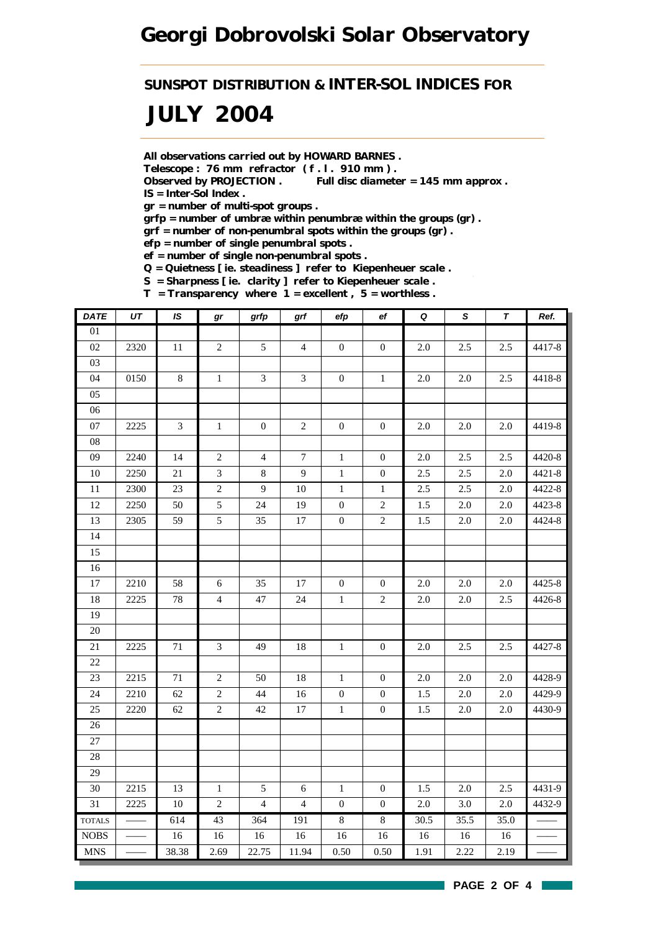*SUNSPOT DISTRIBUTION & INTER-SOL INDICES FOR*

# *JULY 2004*

*All observations carried out by HOWARD BARNES .*

*Telescope : 76 mm refractor ( f . l . 910 mm ) .*

*Observed by PROJECTION . Full disc diameter = 145 mm approx . IS = Inter-Sol Index .*

*gr = number of multi-spot groups .*

*grfp = number of umbræ within penumbræ within the groups (gr) .*

*grf = number of non-penumbral spots within the groups (gr) .*

*efp = number of single penumbral spots .*

*ef = number of single non-penumbral spots .*

*Q = Quietness [ ie. steadiness ] refer to Kiepenheuer scale .*

*S = Sharpness [ ie. clarity ] refer to Kiepenheuer scale .*

*T = Transparency where 1 = excellent , 5 = worthless .*

| <b>DATE</b>   | UT   | <b>IS</b>       | gr             | grfp             | grf            | efp              | $_{\rm ef}$      | $\pmb Q$ | $\mathsf{s}$ | $\pmb{\tau}$ | Ref.       |
|---------------|------|-----------------|----------------|------------------|----------------|------------------|------------------|----------|--------------|--------------|------------|
| 01            |      |                 |                |                  |                |                  |                  |          |              |              |            |
| 02            | 2320 | 11              | $\sqrt{2}$     | $\mathfrak{S}$   | $\overline{4}$ | $\boldsymbol{0}$ | $\boldsymbol{0}$ | 2.0      | 2.5          | 2.5          | 4417-8     |
| 03            |      |                 |                |                  |                |                  |                  |          |              |              |            |
| 04            | 0150 | $8\,$           | $\mathbf{1}$   | $\mathfrak{Z}$   | $\mathfrak{Z}$ | $\overline{0}$   | $\mathbf{1}$     | 2.0      | 2.0          | 2.5          | 4418-8     |
| 05            |      |                 |                |                  |                |                  |                  |          |              |              |            |
| 06            |      |                 |                |                  |                |                  |                  |          |              |              |            |
| 07            | 2225 | 3               | $1\,$          | $\boldsymbol{0}$ | $\mathbf{2}$   | $\boldsymbol{0}$ | $\overline{0}$   | 2.0      | 2.0          | 2.0          | 4419-8     |
| 08            |      |                 |                |                  |                |                  |                  |          |              |              |            |
| $09\,$        | 2240 | 14              | $\sqrt{2}$     | $\overline{4}$   | $\tau$         | $\mathbf{1}$     | $\mathbf{0}$     | $2.0\,$  | 2.5          | 2.5          | 4420-8     |
| 10            | 2250 | 21              | $\mathfrak{Z}$ | $8\,$            | 9              | $\,1\,$          | $\boldsymbol{0}$ | 2.5      | 2.5          | 2.0          | $4421 - 8$ |
| 11            | 2300 | $\overline{23}$ | $\overline{2}$ | 9                | $10\,$         | $\,1\,$          | $\mathbf{1}$     | 2.5      | 2.5          | $2.0\,$      | 4422-8     |
| $12\,$        | 2250 | 50              | $\mathfrak{S}$ | 24               | 19             | $\boldsymbol{0}$ | $\sqrt{2}$       | 1.5      | $2.0\,$      | $2.0\,$      | 4423-8     |
| 13            | 2305 | 59              | 5              | 35               | $17\,$         | $\boldsymbol{0}$ | $\mathbf{2}$     | 1.5      | $2.0\,$      | 2.0          | 4424-8     |
| 14            |      |                 |                |                  |                |                  |                  |          |              |              |            |
| 15            |      |                 |                |                  |                |                  |                  |          |              |              |            |
| 16            |      |                 |                |                  |                |                  |                  |          |              |              |            |
| 17            | 2210 | 58              | $\sqrt{6}$     | 35               | 17             | $\boldsymbol{0}$ | $\boldsymbol{0}$ | $2.0\,$  | 2.0          | $2.0\,$      | 4425-8     |
| $18\,$        | 2225 | 78              | $\overline{4}$ | 47               | 24             | $\,1\,$          | $\overline{2}$   | 2.0      | $2.0\,$      | $2.5\,$      | 4426-8     |
| 19            |      |                 |                |                  |                |                  |                  |          |              |              |            |
| $20\,$        |      |                 |                |                  |                |                  |                  |          |              |              |            |
| 21            | 2225 | 71              | $\mathfrak{Z}$ | 49               | $18\,$         | $\mathbf{1}$     | $\boldsymbol{0}$ | 2.0      | 2.5          | 2.5          | 4427-8     |
| 22            |      |                 |                |                  |                |                  |                  |          |              |              |            |
| 23            | 2215 | 71              | $\sqrt{2}$     | 50               | $18\,$         | $1\,$            | $\boldsymbol{0}$ | $2.0\,$  | $2.0\,$      | $2.0\,$      | 4428-9     |
| 24            | 2210 | 62              | $\sqrt{2}$     | 44               | 16             | $\boldsymbol{0}$ | $\boldsymbol{0}$ | 1.5      | 2.0          | 2.0          | 4429-9     |
| 25            | 2220 | 62              | $\sqrt{2}$     | 42               | $17\,$         | $\,1\,$          | $\boldsymbol{0}$ | 1.5      | $2.0\,$      | $2.0\,$      | 4430-9     |
| $26\,$        |      |                 |                |                  |                |                  |                  |          |              |              |            |
| 27            |      |                 |                |                  |                |                  |                  |          |              |              |            |
| $28\,$        |      |                 |                |                  |                |                  |                  |          |              |              |            |
| 29            |      |                 |                |                  |                |                  |                  |          |              |              |            |
| $30\,$        | 2215 | 13              | $\mathbf{1}$   | 5                | 6              | $1\,$            | $\mathbf{0}$     | 1.5      | 2.0          | 2.5          | 4431-9     |
| 31            | 2225 | $10\,$          | $\sqrt{2}$     | $\overline{4}$   | $\overline{4}$ | $\boldsymbol{0}$ | $\boldsymbol{0}$ | $2.0\,$  | 3.0          | $2.0\,$      | 4432-9     |
| <b>TOTALS</b> |      | 614             | 43             | 364              | 191            | $\overline{8}$   | $\overline{8}$   | 30.5     | 35.5         | 35.0         |            |
| <b>NOBS</b>   |      | $16\,$          | $16\,$         | 16               | $16\,$         | 16               | 16               | $16\,$   | $16\,$       | $16\,$       |            |
| <b>MNS</b>    |      | 38.38           | 2.69           | 22.75            | 11.94          | 0.50             | 0.50             | 1.91     | 2.22         | 2.19         |            |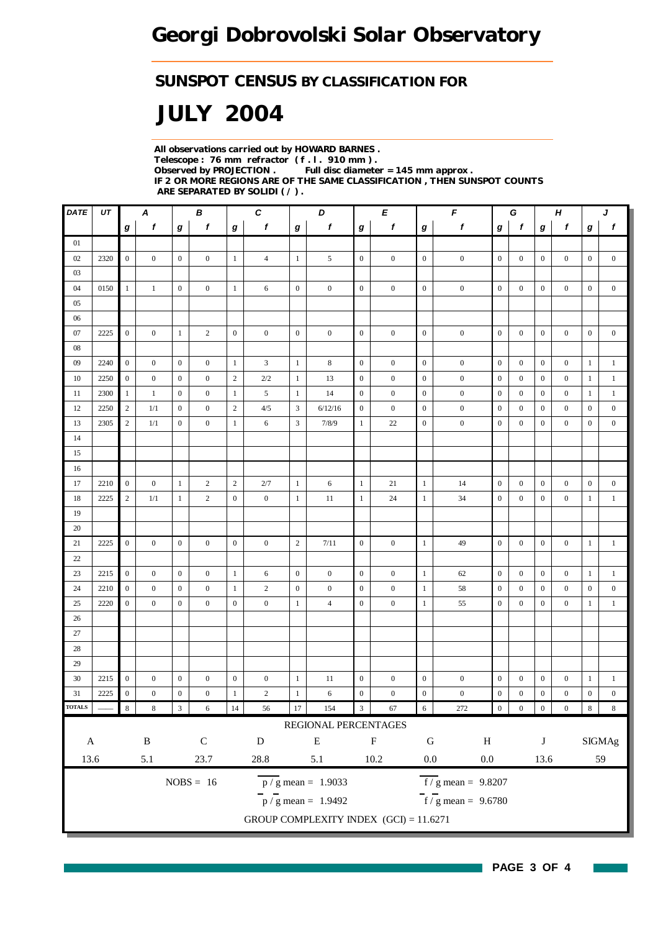### *SUNSPOT CENSUS BY CLASSIFICATION FOR*

# *JULY 2004*

*All observations carried out by HOWARD BARNES . Telescope : 76 mm refractor ( f . l . 910 mm ) . Observed by PROJECTION . Full disc diameter = 145 mm approx . IF 2 OR MORE REGIONS ARE OF THE SAME CLASSIFICATION , THEN SUNSPOT COUNTS ARE SEPARATED BY SOLIDI ( / ) .*

| DATE                | UT   | A<br>В           |                  |                  | C                | D                |                  |                  | E                                        |                         | $\pmb{\digamma}$ |                  | G                                  |                  | $\boldsymbol{H}$ |                  | J                |                  |                  |
|---------------------|------|------------------|------------------|------------------|------------------|------------------|------------------|------------------|------------------------------------------|-------------------------|------------------|------------------|------------------------------------|------------------|------------------|------------------|------------------|------------------|------------------|
|                     |      | g                | f                | g                | f                | g                | f                | g                | f                                        | g                       | f                | g                | f                                  | g                | f                | g                | f                | g                | f                |
| 01                  |      |                  |                  |                  |                  |                  |                  |                  |                                          |                         |                  |                  |                                    |                  |                  |                  |                  |                  |                  |
| 02                  | 2320 | $\mathbf{0}$     | $\overline{0}$   | $\mathbf{0}$     | $\mathbf{0}$     | $\mathbf{1}$     | $\overline{4}$   | $\mathbf{1}$     | 5                                        | $\overline{0}$          | $\boldsymbol{0}$ | $\mathbf{0}$     | $\boldsymbol{0}$                   | $\boldsymbol{0}$ | $\mathbf{0}$     | $\boldsymbol{0}$ | $\mathbf{0}$     | $\boldsymbol{0}$ | $\boldsymbol{0}$ |
| 03                  |      |                  |                  |                  |                  |                  |                  |                  |                                          |                         |                  |                  |                                    |                  |                  |                  |                  |                  |                  |
| 04                  | 0150 | $\mathbf{1}$     | $\mathbf{1}$     | $\mathbf{0}$     | $\boldsymbol{0}$ | $\mathbf{1}$     | 6                | $\mathbf{0}$     | $\mathbf{0}$                             | $\boldsymbol{0}$        | $\boldsymbol{0}$ | $\boldsymbol{0}$ | $\boldsymbol{0}$                   | $\boldsymbol{0}$ | $\boldsymbol{0}$ | $\mathbf{0}$     | $\boldsymbol{0}$ | $\mathbf{0}$     | $\boldsymbol{0}$ |
| 05                  |      |                  |                  |                  |                  |                  |                  |                  |                                          |                         |                  |                  |                                    |                  |                  |                  |                  |                  |                  |
| 06                  |      |                  |                  |                  |                  |                  |                  |                  |                                          |                         |                  |                  |                                    |                  |                  |                  |                  |                  |                  |
| 07                  | 2225 | $\mathbf{0}$     | $\boldsymbol{0}$ | $\mathbf{1}$     | $\overline{c}$   | $\boldsymbol{0}$ | $\boldsymbol{0}$ | $\boldsymbol{0}$ | $\boldsymbol{0}$                         | $\boldsymbol{0}$        | $\boldsymbol{0}$ | $\boldsymbol{0}$ | $\boldsymbol{0}$                   | $\boldsymbol{0}$ | $\boldsymbol{0}$ | $\boldsymbol{0}$ | $\boldsymbol{0}$ | $\boldsymbol{0}$ | $\boldsymbol{0}$ |
| 08                  |      |                  |                  |                  |                  |                  |                  |                  |                                          |                         |                  |                  |                                    |                  |                  |                  |                  |                  |                  |
| 09                  | 2240 | $\overline{0}$   | $\boldsymbol{0}$ | $\boldsymbol{0}$ | $\boldsymbol{0}$ | $\mathbf{1}$     | 3                | $\mathbf{1}$     | $\,$ 8 $\,$                              | $\mathbf{0}$            | $\boldsymbol{0}$ | $\boldsymbol{0}$ | $\boldsymbol{0}$                   | $\boldsymbol{0}$ | $\boldsymbol{0}$ | $\boldsymbol{0}$ | $\boldsymbol{0}$ | $\mathbf{1}$     | $\mathbf{1}$     |
| 10                  | 2250 | $\mathbf{0}$     | $\mathbf{0}$     | $\mathbf{0}$     | $\mathbf{0}$     | $\sqrt{2}$       | $2/2$            | $\mathbf{1}$     | 13                                       | $\boldsymbol{0}$        | $\boldsymbol{0}$ | $\mathbf{0}$     | $\boldsymbol{0}$                   | $\boldsymbol{0}$ | $\mathbf{0}$     | $\boldsymbol{0}$ | $\boldsymbol{0}$ | $\mathbf{1}$     | $\mathbf{1}$     |
| 11                  | 2300 | 1                | 1                | $\boldsymbol{0}$ | $\mathbf{0}$     | $\mathbf{1}$     | 5                | 1                | 14                                       | $\boldsymbol{0}$        | $\boldsymbol{0}$ | $\boldsymbol{0}$ | $\boldsymbol{0}$                   | $\boldsymbol{0}$ | $\mathbf{0}$     | $\boldsymbol{0}$ | $\boldsymbol{0}$ | -1               | $\mathbf{1}$     |
| 12                  | 2250 | $\mathbf{2}$     | 1/1              | $\boldsymbol{0}$ | $\mathbf{0}$     | $\sqrt{2}$       | 4/5              | 3                | 6/12/16                                  | $\mathbf{0}$            | $\boldsymbol{0}$ | $\boldsymbol{0}$ | $\boldsymbol{0}$                   | $\mathbf{0}$     | $\boldsymbol{0}$ | $\bf{0}$         | $\boldsymbol{0}$ | $\boldsymbol{0}$ | $\boldsymbol{0}$ |
| 13                  | 2305 | $\mathbf{2}$     | 1/1              | $\boldsymbol{0}$ | $\boldsymbol{0}$ | $\mathbf{1}$     | 6                | 3                | 7/8/9                                    | 1                       | 22               | $\boldsymbol{0}$ | $\boldsymbol{0}$                   | $\boldsymbol{0}$ | $\boldsymbol{0}$ | $\boldsymbol{0}$ | $\boldsymbol{0}$ | $\boldsymbol{0}$ | $\boldsymbol{0}$ |
| 14                  |      |                  |                  |                  |                  |                  |                  |                  |                                          |                         |                  |                  |                                    |                  |                  |                  |                  |                  |                  |
| 15                  |      |                  |                  |                  |                  |                  |                  |                  |                                          |                         |                  |                  |                                    |                  |                  |                  |                  |                  |                  |
| 16                  |      |                  |                  |                  |                  |                  |                  |                  |                                          |                         |                  |                  |                                    |                  |                  |                  |                  |                  |                  |
| 17                  | 2210 | $\mathbf{0}$     | $\boldsymbol{0}$ | 1                | $\overline{c}$   | $\sqrt{2}$       | 2/7              | -1               | 6                                        | $\mathbf{1}$            | 21               | $\mathbf{1}$     | 14                                 | $\boldsymbol{0}$ | $\boldsymbol{0}$ | $\boldsymbol{0}$ | $\boldsymbol{0}$ | $\boldsymbol{0}$ | $\boldsymbol{0}$ |
| 18                  | 2225 | $\overline{c}$   | 1/1              | $\mathbf{1}$     | $\mathbf{2}$     | $\mathbf{0}$     | $\boldsymbol{0}$ | $\mathbf{1}$     | 11                                       | $\mathbf{1}$            | 24               | 1                | 34                                 | $\boldsymbol{0}$ | $\boldsymbol{0}$ | $\boldsymbol{0}$ | $\boldsymbol{0}$ | $\mathbf{1}$     | $\mathbf{1}$     |
| 19                  |      |                  |                  |                  |                  |                  |                  |                  |                                          |                         |                  |                  |                                    |                  |                  |                  |                  |                  |                  |
| 20                  |      |                  |                  |                  |                  |                  |                  |                  |                                          |                         |                  |                  |                                    |                  |                  |                  |                  |                  |                  |
| 21                  | 2225 | $\boldsymbol{0}$ | $\boldsymbol{0}$ | $\mathbf{0}$     | $\overline{0}$   | $\mathbf{0}$     | $\boldsymbol{0}$ | $\mathbf{2}$     | 7/11                                     | $\mathbf{0}$            | $\boldsymbol{0}$ | $\mathbf{1}$     | 49                                 | $\boldsymbol{0}$ | $\boldsymbol{0}$ | $\boldsymbol{0}$ | $\mathbf{0}$     | $\mathbf{1}$     | $\mathbf{1}$     |
| 22                  |      |                  |                  |                  |                  |                  |                  |                  |                                          |                         |                  |                  |                                    |                  |                  |                  |                  |                  |                  |
| 23                  | 2215 | $\mathbf{0}$     | $\boldsymbol{0}$ | $\mathbf{0}$     | $\boldsymbol{0}$ | 1                | 6                | $\boldsymbol{0}$ | $\boldsymbol{0}$                         | $\mathbf{0}$            | $\boldsymbol{0}$ | 1                | 62                                 | $\mathbf{0}$     | $\boldsymbol{0}$ | $\boldsymbol{0}$ | $\boldsymbol{0}$ | $\mathbf{1}$     | $\mathbf{1}$     |
| 24                  | 2210 | $\boldsymbol{0}$ | $\boldsymbol{0}$ | $\mathbf{0}$     | $\boldsymbol{0}$ | $\mathbf{1}$     | $\overline{c}$   | $\boldsymbol{0}$ | $\boldsymbol{0}$                         | $\mathbf{0}$            | $\boldsymbol{0}$ | $\mathbf{1}$     | 58                                 | $\mathbf{0}$     | $\boldsymbol{0}$ | $\boldsymbol{0}$ | $\boldsymbol{0}$ | $\boldsymbol{0}$ | $\boldsymbol{0}$ |
| 25                  | 2220 | $\mathbf{0}$     | $\mathbf{0}$     | $\boldsymbol{0}$ | $\mathbf{0}$     | $\mathbf{0}$     | $\boldsymbol{0}$ | $\mathbf{1}$     | $\overline{4}$                           | $\boldsymbol{0}$        | $\boldsymbol{0}$ | $\mathbf{1}$     | 55                                 | $\boldsymbol{0}$ | $\boldsymbol{0}$ | $\mathbf{0}$     | $\boldsymbol{0}$ | $\mathbf{1}$     | $\mathbf{1}$     |
| 26                  |      |                  |                  |                  |                  |                  |                  |                  |                                          |                         |                  |                  |                                    |                  |                  |                  |                  |                  |                  |
| 27                  |      |                  |                  |                  |                  |                  |                  |                  |                                          |                         |                  |                  |                                    |                  |                  |                  |                  |                  |                  |
| 28                  |      |                  |                  |                  |                  |                  |                  |                  |                                          |                         |                  |                  |                                    |                  |                  |                  |                  |                  |                  |
| 29                  |      |                  |                  |                  |                  |                  |                  |                  |                                          |                         |                  |                  |                                    |                  |                  |                  |                  |                  |                  |
| 30                  | 2215 | $\boldsymbol{0}$ | $\boldsymbol{0}$ | $\boldsymbol{0}$ | $\boldsymbol{0}$ | $\boldsymbol{0}$ | $\boldsymbol{0}$ | 1                | 11                                       | $\boldsymbol{0}$        | $\boldsymbol{0}$ | $\boldsymbol{0}$ | $\boldsymbol{0}$                   | $\boldsymbol{0}$ | $\boldsymbol{0}$ | $\boldsymbol{0}$ | $\boldsymbol{0}$ | $\mathbf{1}$     | $\mathbf{1}$     |
| 31                  | 2225 | $\mathbf{0}$     | $\mathbf{0}$     | $\boldsymbol{0}$ | $\boldsymbol{0}$ | $\mathbf{1}$     | $\sqrt{2}$       | $\mathbf{1}$     | 6                                        | $\boldsymbol{0}$        | $\boldsymbol{0}$ | $\boldsymbol{0}$ | $\boldsymbol{0}$                   | $\boldsymbol{0}$ | $\boldsymbol{0}$ | $\boldsymbol{0}$ | $\boldsymbol{0}$ | $\boldsymbol{0}$ | $\boldsymbol{0}$ |
| <b>TOTALS</b>       |      | $\,$ 8 $\,$      | $\,$ 8 $\,$      | $\sqrt{3}$       | $\sqrt{6}$       | 14               | 56               | $17\,$           | 154                                      | $\overline{\mathbf{3}}$ | 67               | $\sqrt{6}$       | 272                                | $\boldsymbol{0}$ | $\boldsymbol{0}$ | $\boldsymbol{0}$ | $\boldsymbol{0}$ | $\bf 8$          | $\,8\,$          |
|                     |      |                  |                  |                  |                  |                  |                  |                  | REGIONAL PERCENTAGES                     |                         |                  |                  |                                    |                  |                  |                  |                  |                  |                  |
| $\mathbf A$         |      |                  | $\, {\bf B}$     |                  | ${\bf C}$        |                  | ${\bf D}$        |                  | ${\bf E}$                                |                         | ${\bf F}$        | ${\bf G}$        | $\, {\rm H}$                       |                  |                  | $\bf J$          |                  |                  | <b>SIGMAg</b>    |
| 23.7<br>13.6<br>5.1 |      |                  | $28.8\,$         |                  | 5.1              |                  | $10.2\,$         | $0.0\,$          | $0.0\,$                                  |                         |                  | 13.6             |                                    |                  | 59               |                  |                  |                  |                  |
|                     |      |                  |                  |                  |                  |                  |                  |                  |                                          |                         |                  |                  |                                    |                  |                  |                  |                  |                  |                  |
|                     |      |                  |                  |                  | $NOBS = 16$      |                  |                  |                  | $\overline{p}/g$ mean = 1.9033           |                         |                  |                  | $\overline{f}/g$ mean = 9.8207     |                  |                  |                  |                  |                  |                  |
|                     |      |                  |                  |                  |                  |                  |                  |                  | $\frac{1}{p}$ / g mean = 1.9492          |                         |                  |                  | $\frac{1}{\sqrt{5}}$ mean = 9.6780 |                  |                  |                  |                  |                  |                  |
|                     |      |                  |                  |                  |                  |                  |                  |                  | GROUP COMPLEXITY INDEX $(GCI) = 11.6271$ |                         |                  |                  |                                    |                  |                  |                  |                  |                  |                  |